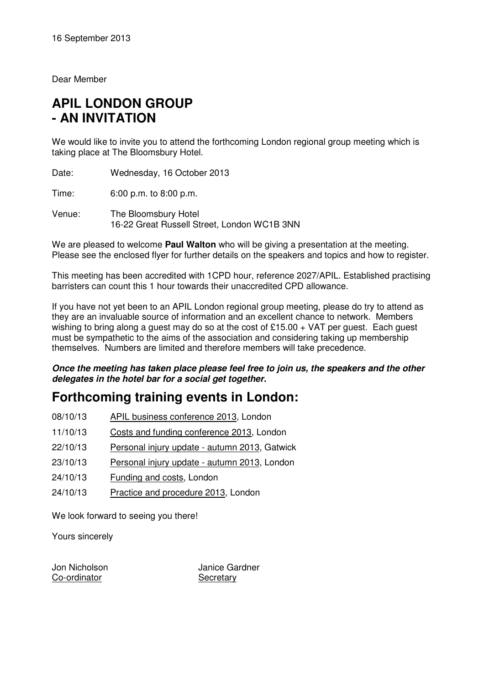Dear Member

# **APIL LONDON GROUP - AN INVITATION**

We would like to invite you to attend the forthcoming London regional group meeting which is taking place at The Bloomsbury Hotel.

Date: Wednesday, 16 October 2013

Time: 6:00 p.m. to 8:00 p.m.

Venue: The Bloomsbury Hotel 16-22 Great Russell Street, London WC1B 3NN

We are pleased to welcome **Paul Walton** who will be giving a presentation at the meeting. Please see the enclosed flyer for further details on the speakers and topics and how to register.

This meeting has been accredited with 1CPD hour, reference 2027/APIL. Established practising barristers can count this 1 hour towards their unaccredited CPD allowance.

If you have not yet been to an APIL London regional group meeting, please do try to attend as they are an invaluable source of information and an excellent chance to network. Members wishing to bring along a guest may do so at the cost of £15.00  $+$  VAT per guest. Each guest must be sympathetic to the aims of the association and considering taking up membership themselves. Numbers are limited and therefore members will take precedence.

**Once the meeting has taken place please feel free to join us, the speakers and the other delegates in the hotel bar for a social get together.** 

## **Forthcoming training events in London:**

- 08/10/13 APIL business conference 2013, London
- 11/10/13 Costs and funding conference 2013, London
- 22/10/13 Personal injury update autumn 2013, Gatwick
- 23/10/13 Personal injury update autumn 2013, London
- 24/10/13 Funding and costs, London
- 24/10/13 Practice and procedure 2013, London

We look forward to seeing you there!

Yours sincerely

Co-ordinator Secretary

Jon Nicholson Janice Gardner